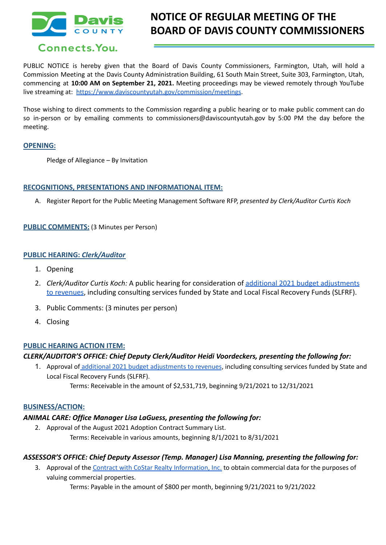

# **NOTICE OF REGULAR MEETING OF THE BOARD OF DAVIS COUNTY COMMISSIONERS**

PUBLIC NOTICE is hereby given that the Board of Davis County Commissioners, Farmington, Utah, will hold a Commission Meeting at the Davis County Administration Building, 61 South Main Street, Suite 303, Farmington, Utah, commencing at **10:00 AM on September 21, 2021.** Meeting proceedings may be viewed remotely through YouTube live streaming at: <https://www.daviscountyutah.gov/commission/meetings>.

Those wishing to direct comments to the Commission regarding a public hearing or to make public comment can do so in-person or by emailing comments to commissioners@daviscountyutah.gov by 5:00 PM the day before the meeting.

# **OPENING:**

Pledge of Allegiance – By Invitation

#### **RECOGNITIONS, PRESENTATIONS AND INFORMATIONAL ITEM:**

A. Register Report for the Public Meeting Management Software RFP, *presented by Clerk/Auditor Curtis Koch*

**PUBLIC COMMENTS:** (3 Minutes per Person)

#### **PUBLIC HEARING:** *Clerk/Auditor*

- 1. Opening
- 2. *Clerk/Auditor Curtis Koch:* A public hearing for consideration of [additional 2021 budget adjustments](https://drive.google.com/file/d/1aPRT5-FzRcuJYKduaVfOIdxCn6ctpz-U/view?usp=sharing) [to revenues](https://drive.google.com/file/d/1aPRT5-FzRcuJYKduaVfOIdxCn6ctpz-U/view?usp=sharing), including consulting services funded by State and Local Fiscal Recovery Funds (SLFRF).
- 3. Public Comments: (3 minutes per person)
- 4. Closing

# **PUBLIC HEARING ACTION ITEM:**

# *CLERK/AUDITOR'S OFFICE: Chief Deputy Clerk/Auditor Heidi Voordeckers, presenting the following for:*

1. Approval of additional 2021 budget [adjustments](https://drive.google.com/file/d/1aPRT5-FzRcuJYKduaVfOIdxCn6ctpz-U/view?usp=sharing) to revenues, including consulting services funded by State and Local Fiscal Recovery Funds (SLFRF).

# Terms: Receivable in the amount of \$2,531,719, beginning 9/21/2021 to 12/31/2021

# **BUSINESS/ACTION:**

# *ANIMAL CARE: Office Manager Lisa LaGuess, presenting the following for:*

2. Approval of the August 2021 Adoption Contract Summary List. Terms: Receivable in various amounts, beginning 8/1/2021 to 8/31/2021

# *ASSESSOR'S OFFICE: Chief Deputy Assessor (Temp. Manager) Lisa Manning, presenting the following for:*

3. Approval of the Contract with CoStar Realty [Information,](https://drive.google.com/file/d/1HpJlbv4N1_8Am2-llv0tTpq1nuoRmNjv/view?usp=sharing) Inc. to obtain commercial data for the purposes of valuing commercial properties.

Terms: Payable in the amount of \$800 per month, beginning 9/21/2021 to 9/21/2022